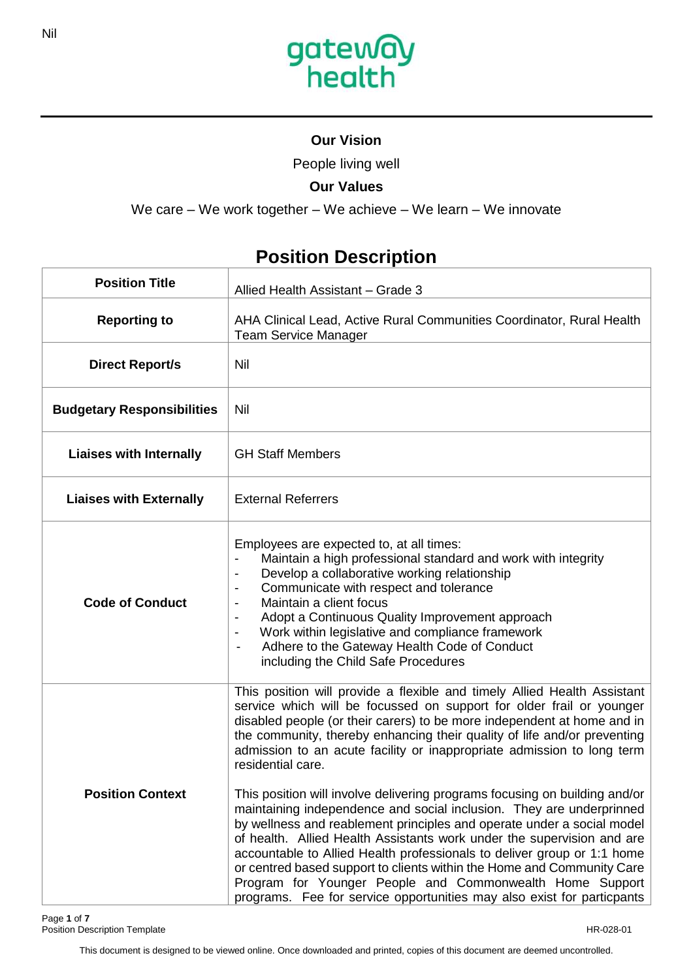

### **Our Vision**

People living well

## **Our Values**

We care – We work together – We achieve – We learn – We innovate

## **Position Title**  Allied Health Assistant – Grade 3 **Reporting to** AHA Clinical Lead, Active Rural Communities Coordinator, Rural Health Team Service Manager **Direct Report/s** | Nil **Budgetary Responsibilities** Nil Liaises with Internally **GH** Staff Members **Liaises with Externally** | External Referrers **Code of Conduct** Employees are expected to, at all times: Maintain a high professional standard and work with integrity Develop a collaborative working relationship Communicate with respect and tolerance - Maintain a client focus Adopt a Continuous Quality Improvement approach - Work within legislative and compliance framework Adhere to the Gateway Health Code of Conduct including the Child Safe Procedures **Position Context** This position will provide a flexible and timely Allied Health Assistant service which will be focussed on support for older frail or younger disabled people (or their carers) to be more independent at home and in the community, thereby enhancing their quality of life and/or preventing admission to an acute facility or inappropriate admission to long term residential care. This position will involve delivering programs focusing on building and/or maintaining independence and social inclusion. They are underprinned by wellness and reablement principles and operate under a social model of health. Allied Health Assistants work under the supervision and are accountable to Allied Health professionals to deliver group or 1:1 home or centred based support to clients within the Home and Community Care Program for Younger People and Commonwealth Home Support programs. Fee for service opportunities may also exist for particpants

# **Position Description**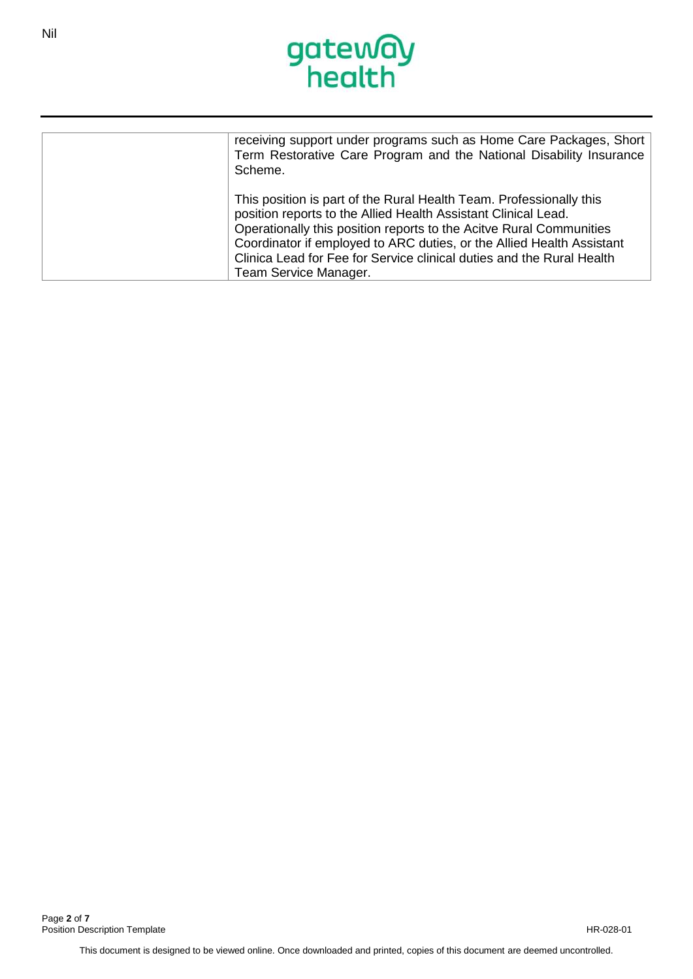

| receiving support under programs such as Home Care Packages, Short<br>Term Restorative Care Program and the National Disability Insurance<br>Scheme.                                                                                                                                                                                                                                    |
|-----------------------------------------------------------------------------------------------------------------------------------------------------------------------------------------------------------------------------------------------------------------------------------------------------------------------------------------------------------------------------------------|
| This position is part of the Rural Health Team. Professionally this<br>position reports to the Allied Health Assistant Clinical Lead.<br>Operationally this position reports to the Acitve Rural Communities<br>Coordinator if employed to ARC duties, or the Allied Health Assistant<br>Clinica Lead for Fee for Service clinical duties and the Rural Health<br>Team Service Manager. |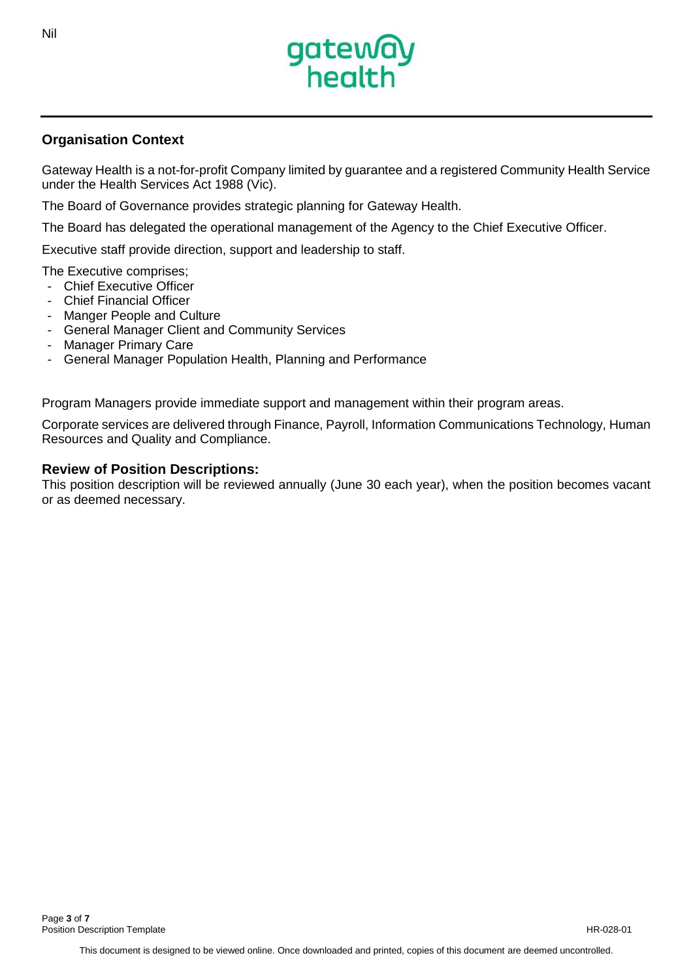

### **Organisation Context**

Gateway Health is a not-for-profit Company limited by guarantee and a registered Community Health Service under the Health Services Act 1988 (Vic).

The Board of Governance provides strategic planning for Gateway Health.

The Board has delegated the operational management of the Agency to the Chief Executive Officer.

Executive staff provide direction, support and leadership to staff.

The Executive comprises;

- Chief Executive Officer
- **Chief Financial Officer**
- Manger People and Culture
- General Manager Client and Community Services
- Manager Primary Care
- General Manager Population Health, Planning and Performance

Program Managers provide immediate support and management within their program areas.

Corporate services are delivered through Finance, Payroll, Information Communications Technology, Human Resources and Quality and Compliance.

### **Review of Position Descriptions:**

This position description will be reviewed annually (June 30 each year), when the position becomes vacant or as deemed necessary.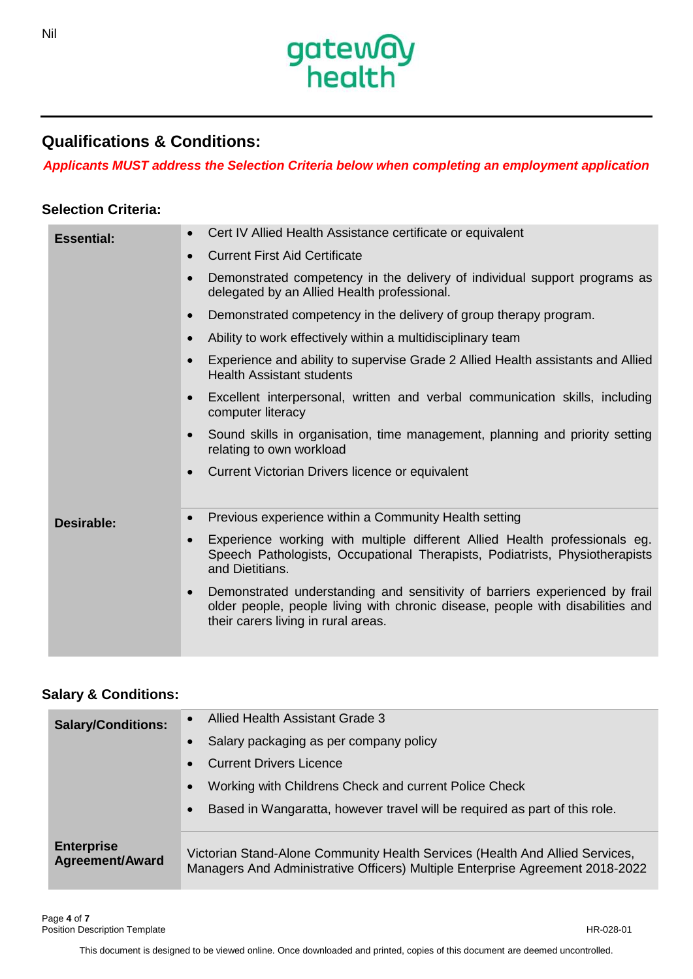

## **Qualifications & Conditions:**

*Applicants MUST address the Selection Criteria below when completing an employment application*

### **Selection Criteria:**

| <b>Essential:</b> | Cert IV Allied Health Assistance certificate or equivalent                                                                                                                                                        |
|-------------------|-------------------------------------------------------------------------------------------------------------------------------------------------------------------------------------------------------------------|
|                   | <b>Current First Aid Certificate</b><br>$\bullet$                                                                                                                                                                 |
|                   | Demonstrated competency in the delivery of individual support programs as<br>$\bullet$<br>delegated by an Allied Health professional.                                                                             |
|                   | Demonstrated competency in the delivery of group therapy program.<br>$\bullet$                                                                                                                                    |
|                   | Ability to work effectively within a multidisciplinary team<br>$\bullet$                                                                                                                                          |
|                   | Experience and ability to supervise Grade 2 Allied Health assistants and Allied<br><b>Health Assistant students</b>                                                                                               |
|                   | Excellent interpersonal, written and verbal communication skills, including<br>$\bullet$<br>computer literacy                                                                                                     |
|                   | Sound skills in organisation, time management, planning and priority setting<br>$\bullet$<br>relating to own workload                                                                                             |
|                   | Current Victorian Drivers licence or equivalent<br>$\bullet$                                                                                                                                                      |
|                   |                                                                                                                                                                                                                   |
| Desirable:        | Previous experience within a Community Health setting<br>$\bullet$                                                                                                                                                |
|                   | Experience working with multiple different Allied Health professionals eg.<br>$\bullet$<br>Speech Pathologists, Occupational Therapists, Podiatrists, Physiotherapists<br>and Dietitians.                         |
|                   | Demonstrated understanding and sensitivity of barriers experienced by frail<br>$\bullet$<br>older people, people living with chronic disease, people with disabilities and<br>their carers living in rural areas. |

### **Salary & Conditions:**

| <b>Salary/Conditions:</b>                   | Allied Health Assistant Grade 3                                                                                                                               |
|---------------------------------------------|---------------------------------------------------------------------------------------------------------------------------------------------------------------|
|                                             | Salary packaging as per company policy<br>$\bullet$                                                                                                           |
|                                             | <b>Current Drivers Licence</b><br>$\bullet$                                                                                                                   |
|                                             | Working with Childrens Check and current Police Check<br>$\bullet$                                                                                            |
|                                             | Based in Wangaratta, however travel will be required as part of this role.<br>$\bullet$                                                                       |
| <b>Enterprise</b><br><b>Agreement/Award</b> | Victorian Stand-Alone Community Health Services (Health And Allied Services,<br>Managers And Administrative Officers) Multiple Enterprise Agreement 2018-2022 |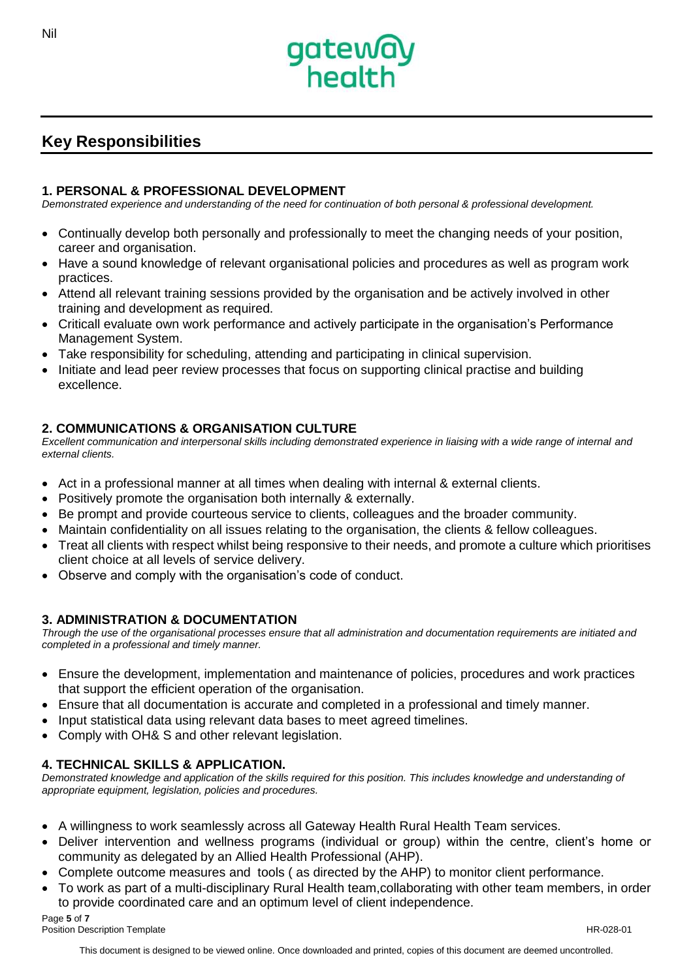

## **Key Responsibilities**

#### **1. PERSONAL & PROFESSIONAL DEVELOPMENT**

*Demonstrated experience and understanding of the need for continuation of both personal & professional development.*

- Continually develop both personally and professionally to meet the changing needs of your position, career and organisation.
- Have a sound knowledge of relevant organisational policies and procedures as well as program work practices.
- Attend all relevant training sessions provided by the organisation and be actively involved in other training and development as required.
- Criticall evaluate own work performance and actively participate in the organisation's Performance Management System.
- Take responsibility for scheduling, attending and participating in clinical supervision.
- Initiate and lead peer review processes that focus on supporting clinical practise and building excellence.

#### **2. COMMUNICATIONS & ORGANISATION CULTURE**

*Excellent communication and interpersonal skills including demonstrated experience in liaising with a wide range of internal and external clients.*

- Act in a professional manner at all times when dealing with internal & external clients.
- Positively promote the organisation both internally & externally.
- Be prompt and provide courteous service to clients, colleagues and the broader community.
- Maintain confidentiality on all issues relating to the organisation, the clients & fellow colleagues.
- Treat all clients with respect whilst being responsive to their needs, and promote a culture which prioritises client choice at all levels of service delivery.
- Observe and comply with the organisation's code of conduct.

#### **3. ADMINISTRATION & DOCUMENTATION**

*Through the use of the organisational processes ensure that all administration and documentation requirements are initiated and completed in a professional and timely manner.*

- Ensure the development, implementation and maintenance of policies, procedures and work practices that support the efficient operation of the organisation.
- Ensure that all documentation is accurate and completed in a professional and timely manner.
- Input statistical data using relevant data bases to meet agreed timelines.
- Comply with OH& S and other relevant legislation.

### **4. TECHNICAL SKILLS & APPLICATION.**

*Demonstrated knowledge and application of the skills required for this position. This includes knowledge and understanding of appropriate equipment, legislation, policies and procedures.*

- A willingness to work seamlessly across all Gateway Health Rural Health Team services.
- Deliver intervention and wellness programs (individual or group) within the centre, client's home or community as delegated by an Allied Health Professional (AHP).
- Complete outcome measures and tools ( as directed by the AHP) to monitor client performance.
- To work as part of a multi-disciplinary Rural Health team,collaborating with other team members, in order to provide coordinated care and an optimum level of client independence.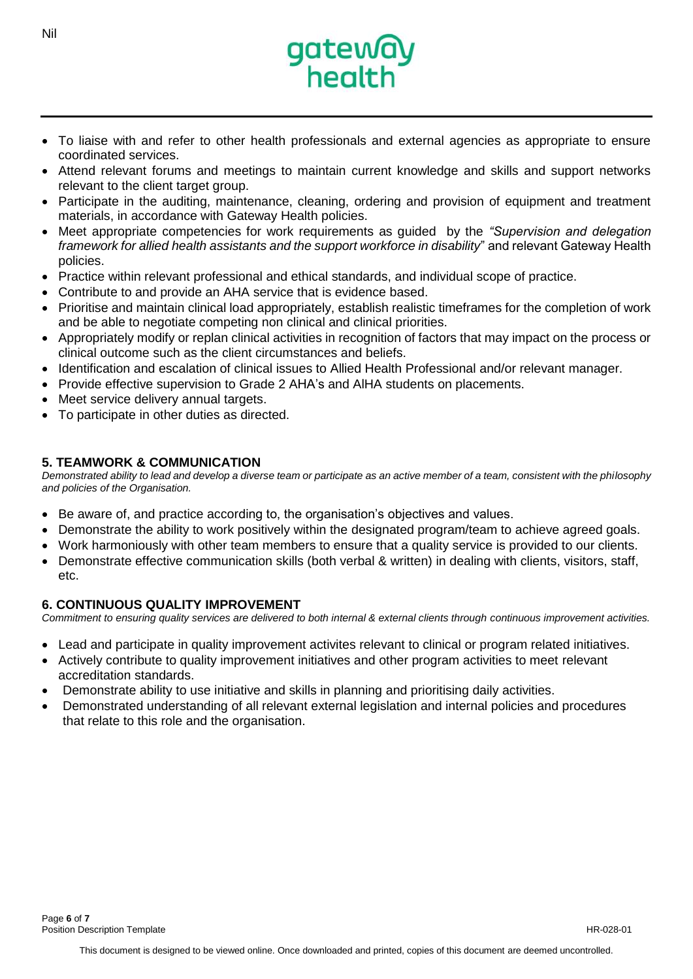

- To liaise with and refer to other health professionals and external agencies as appropriate to ensure coordinated services.
- Attend relevant forums and meetings to maintain current knowledge and skills and support networks relevant to the client target group.
- Participate in the auditing, maintenance, cleaning, ordering and provision of equipment and treatment materials, in accordance with Gateway Health policies.
- Meet appropriate competencies for work requirements as guided by the *"Supervision and delegation framework for allied health assistants and the support workforce in disability*" and relevant Gateway Health policies.
- Practice within relevant professional and ethical standards, and individual scope of practice.
- Contribute to and provide an AHA service that is evidence based.
- Prioritise and maintain clinical load appropriately, establish realistic timeframes for the completion of work and be able to negotiate competing non clinical and clinical priorities.
- Appropriately modify or replan clinical activities in recognition of factors that may impact on the process or clinical outcome such as the client circumstances and beliefs.
- Identification and escalation of clinical issues to Allied Health Professional and/or relevant manager.
- Provide effective supervision to Grade 2 AHA's and AlHA students on placements.
- Meet service delivery annual targets.
- To participate in other duties as directed.

### **5. TEAMWORK & COMMUNICATION**

*Demonstrated ability to lead and develop a diverse team or participate as an active member of a team, consistent with the philosophy and policies of the Organisation.*

- Be aware of, and practice according to, the organisation's objectives and values.
- Demonstrate the ability to work positively within the designated program/team to achieve agreed goals.
- Work harmoniously with other team members to ensure that a quality service is provided to our clients.
- Demonstrate effective communication skills (both verbal & written) in dealing with clients, visitors, staff, etc.

#### **6. CONTINUOUS QUALITY IMPROVEMENT**

*Commitment to ensuring quality services are delivered to both internal & external clients through continuous improvement activities.*

- Lead and participate in quality improvement activites relevant to clinical or program related initiatives.
- Actively contribute to quality improvement initiatives and other program activities to meet relevant accreditation standards.
- Demonstrate ability to use initiative and skills in planning and prioritising daily activities.
- Demonstrated understanding of all relevant external legislation and internal policies and procedures that relate to this role and the organisation.